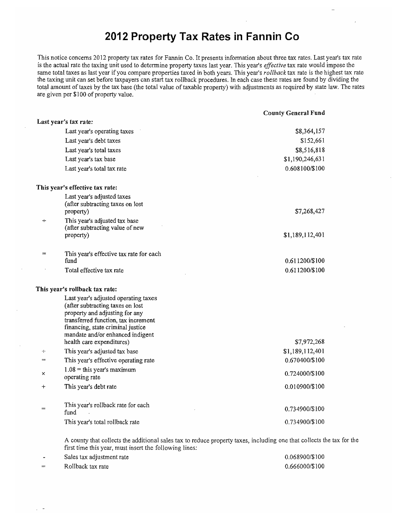# **2012 Property Tax Rates in Fannin Co**

This notice concerns 2012 property tax rates for Fannin Co. It presents information about three tax rates. Last year's tax rate is the actual rate the taxing unit used to determine property taxes last year. This year's *effective* tax rate would impose the same total taxes as last year if you compare properties taxed in both years. This year's *rollback* tax rate is the highest tax rate the taxing unit can *set* before taxpayers can start tax rollback procedures. In each case these rates are found by dividing the total amount of taxes by the tax base (the total value of taxable property) with adjustments as required by state law. The rates are given per \$100 of property value.

| \$8,364,157     |
|-----------------|
| \$152,661       |
| \$8,516,818     |
| \$1,190,246,631 |
| 0.608100/\$100  |
|                 |
|                 |
|                 |
| \$7,268,427     |
|                 |
| \$1,189,112,401 |
|                 |
| 0.611200/\$100  |
| 0.611200/\$100  |
|                 |
|                 |
|                 |
|                 |
|                 |
|                 |
| \$7,972,268     |
| \$1,189,112,401 |
| 0.670400/\$100  |
| 0.724000/\$100  |
| 0.010900/\$100  |
| 0.734900/\$100  |
| 0.734900/\$100  |
|                 |

A county that collects the additional sales tax to reduce property taxes, including one that collects the tax for the first time this year, must insert the following lines:

| <b>1999</b> | Sales tax adjustment rate | 0.068900/\$100 |
|-------------|---------------------------|----------------|
| $=$         | Rollback tax rate         | 0.666000/\$100 |